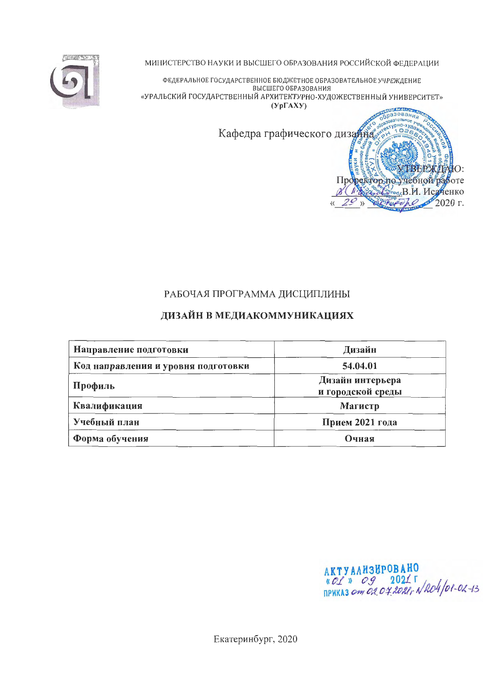

МИНИСТЕРСТВО НАУКИ И ВЫСШЕГО ОБРАЗОВАНИЯ РОССИЙСКОЙ ФЕДЕРАЦИИ

ФЕДЕРАЛЬНОЕ ГОСУДАРСТВЕННОЕ БЮДЖЕТНОЕ ОБРАЗОВАТЕЛЬНОЕ УЧРЕЖДЕНИЕ ВЫСШЕГО ОБРАЗОВАНИЯ «УРАЛЬСКИЙ ГОСУДАРСТВЕННЫЙ АРХИТЕКТУРНО-ХУДОЖЕСТВЕННЫЙ УНИВЕРСИТЕТ»  $(Yp\Gamma A X Y)$ 

Кафедра графического дизайна

# РАБОЧАЯ ПРОГРАММА ДИСЦИПЛИНЫ

# ДИЗАЙН В МЕДИАКОММУНИКАЦИЯХ

| Направление подготовки              | Дизайн                                |  |  |  |  |
|-------------------------------------|---------------------------------------|--|--|--|--|
| Код направления и уровня подготовки | 54.04.01                              |  |  |  |  |
| Профиль                             | Дизайн интерьера<br>и городской среды |  |  |  |  |
| Квалификация                        | Магистр                               |  |  |  |  |
| Учебный план                        | Прием 2021 года                       |  |  |  |  |
| Форма обучения                      | Очная                                 |  |  |  |  |

AKTYANH3HPOBAHO<br>«CL» Og 2021 F<br>приказ стого 4 2021 г N2O4/01-02-13

 $\bullet$ C:

 $2020r$ .

**THE PART** 

Reserved B.M. Исаченко

Проректорио учебной работе

 $\mathcal{F}$ 

Екатеринбург, 2020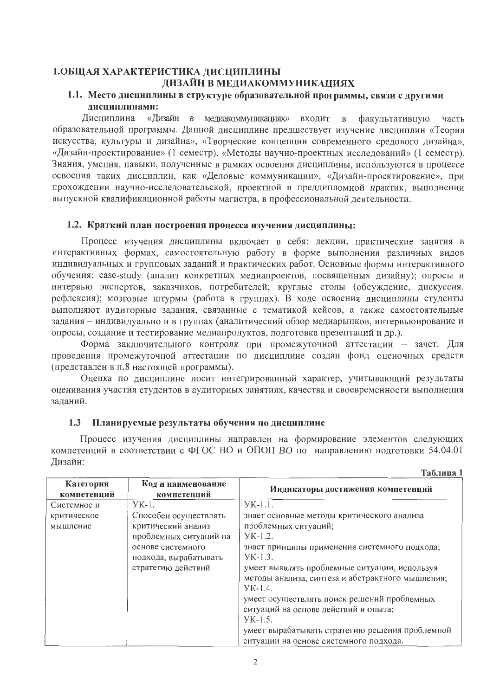# 1.ОБЩАЯ ХАРАКТЕРИСТИКА ДИСЦИПЛИНЫ ДИЗАЙН В МЕДИАКОММУНИКАЦИЯХ

# 1.1. Место дисциплины в структуре образовательной программы, связи с другими дисциплинами:

Дисциплина «Дизайн в медиакоммуникациях» входит в факультативную часть образовательной программы. Данной дисциплине предшествует изучение дисциплин «Теория искусства, культуры и дизайна», «Творческие концепции современного средового дизайна». «Дизайн-проектирование» (1 семестр), «Методы научно-проектных исследований» (1 семестр). Знания, умения, навыки, полученные в рамках освоения дисциплины, используются в процессе освоения таких дисциплин, как «Деловые коммуникации», «Дизайн-проектирование», при прохождении научно-исследовательской, проектной и преддипломной практик, выполнении выпускной квалификационной работы магистра, в профессиональной деятельности.

### 1.2. Краткий план построения процесса изучения дисциплины:

Процесс изучения дисциплины включает в себя: лекции, практические занятия в интерактивных формах, самостоятельную работу в форме выполнения различных видов индивидуальных и групповых заданий и практических работ. Основные формы интерактивного обучения: case-study (анализ конкретных медиапроектов, посвященных дизайну); опросы и интервью экспертов, заказчиков, потребителей; круглые столы (обсуждение, дискуссия, рефлексия); мозговые штурмы (работа в группах). В ходе освоения дисциплины студенты выполняют аудиторные задания, связанные с тематикой кейсов, а также самостоятельные задания - индивидуально и в группах (аналитический обзор медиарынков, интервью ирование и опросы, создание и тестирование медиапродуктов, подготовка презентаций и др.).

Форма заключительного контроля при промежуточной аттестации - зачет. Для проведения промежуточной аттестации по дисциплине создан фонд оценочных средств (представлен в п.8 настоящей программы).

Оценка по дисциплине носит интегрированный характер, учитывающий результаты оценивания участия студентов в аудиторных занятиях, качества и своевременности выполнения заданий.

# 1.3 Планируемые результаты обучения по дисциплине

Процесс изучения дисциплины направлен на формирование элементов следующих компетенций в соответствии с ФГОС ВО и ОПОП ВО по направлению подготовки 54.04.01 Лизайн:  $Ta6$ nuna 1

| Код и наименование<br>компетенций                                                                                                         | Индикаторы достижения компетенций                                                                                                                                                                                                                                                                                                                                                                                                                                    |
|-------------------------------------------------------------------------------------------------------------------------------------------|----------------------------------------------------------------------------------------------------------------------------------------------------------------------------------------------------------------------------------------------------------------------------------------------------------------------------------------------------------------------------------------------------------------------------------------------------------------------|
| $YK-1$ .                                                                                                                                  | $YK-1.1$ .                                                                                                                                                                                                                                                                                                                                                                                                                                                           |
| Способен осуществлять<br>критический анализ<br>проблемных ситуаций на<br>основе системного<br>подхода, вырабатывать<br>стратегию действий | знает основные методы критического анализа<br>проблемных ситуаций;<br>$YK-1.2$ .<br>знает принципы применения системного подхода;<br>$YK-1.3$ .<br>умеет выявлять проблемные ситуации, используя<br>методы анализа, синтеза и абстрактного мышления;<br>$YK-1.4$ .<br>умеет осуществлять поиск решений проблемных<br>ситуаций на основе действий и опыта;<br>$YK-1.5$ .<br>умеет вырабатывать стратегию решения проблемной<br>ситуации на основе системного подхода. |
|                                                                                                                                           |                                                                                                                                                                                                                                                                                                                                                                                                                                                                      |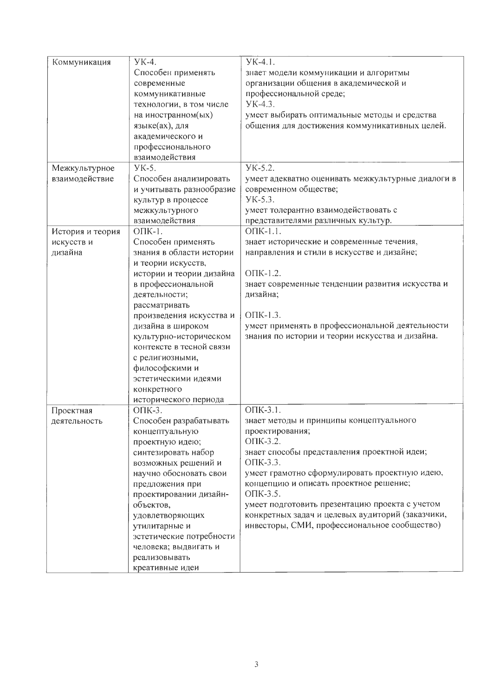| Коммуникация     | УК-4.                    | <b>YK-4.1.</b>                                    |
|------------------|--------------------------|---------------------------------------------------|
|                  | Способен применять       | знает модели коммуникации и алгоритмы             |
|                  | современные              | организации общения в академической и             |
|                  | коммуникативные          | профессиональной среде;                           |
|                  | технологии, в том числе  | YK-4.3.                                           |
|                  | на иностранном(ых)       | умеет выбирать оптимальные методы и средства      |
|                  | языке(ах), для           | общения для достижения коммуникативных целей.     |
|                  | академического и         |                                                   |
|                  | профессионального        |                                                   |
|                  | взаимодействия           |                                                   |
| Межкультурное    | <b>YK-5.</b>             | YK-5.2.                                           |
| взаимодействие   | Способен анализировать   | умеет адекватно оценивать межкультурные диалоги в |
|                  | и учитывать разнообразие | современном обществе;                             |
|                  | культур в процессе       | YK-5.3.                                           |
|                  | межкультурного           | умеет толерантно взаимодействовать с              |
|                  | взаимодействия           | представителями различных культур.                |
|                  | $O\Pi K-1$ .             | ОПК-1.1.                                          |
| История и теория |                          |                                                   |
| искусств и       | Способен применять       | знает исторические и современные течения,         |
| дизайна          | знания в области истории | направления и стили в искусстве и дизайне;        |
|                  | и теории искусств,       |                                                   |
|                  | истории и теории дизайна | ОПК-1.2.                                          |
|                  | в профессиональной       | знает современные тенденции развития искусства и  |
|                  | деятельности;            | дизайна;                                          |
|                  | рассматривать            |                                                   |
|                  | произведения искусства и | $O$ $\Pi$ K-1.3.                                  |
|                  | дизайна в широком        | умеет применять в профессиональной деятельности   |
|                  | культурно-историческом   | знания по истории и теории искусства и дизайна.   |
|                  | контексте в тесной связи |                                                   |
|                  | с религиозными,          |                                                   |
|                  | философскими и           |                                                   |
|                  | эстетическими идеями     |                                                   |
|                  | конкретного              |                                                   |
|                  | исторического периода    |                                                   |
| Проектная        | ОПК-3.                   | ОПК-3.1.                                          |
| деятельность     | Способен разрабатывать   | знает методы и принципы концептуального           |
|                  | концептуальную           | проектирования;                                   |
|                  | проектную идею;          | ОПК-3.2.                                          |
|                  | синтезировать набор      | знает способы представления проектной идеи;       |
|                  | возможных решений и      | ОПК-3.3.                                          |
|                  | научно обосновать свои   | умеет грамотно сформулировать проектную идею,     |
|                  | предложения при          | концепцию и описать проектное решение;            |
|                  | проектировании дизайн-   | ОПК-3.5.                                          |
|                  | объектов,                | умеет подготовить презентацию проекта с учетом    |
|                  | удовлетворяющих          | конкретных задач и целевых аудиторий (заказчики,  |
|                  | утилитарные и            | инвесторы, СМИ, профессиональное сообщество)      |
|                  | эстетические потребности |                                                   |
|                  | человека; выдвигать и    |                                                   |
|                  | реализовывать            |                                                   |
|                  | креативные идеи          |                                                   |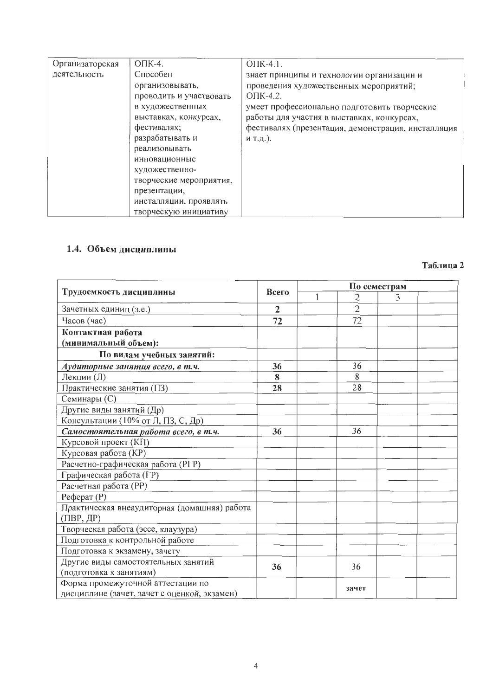| Организаторская | $O\Pi K-4.$             | $O\Pi K-4.1$ .                                     |
|-----------------|-------------------------|----------------------------------------------------|
| деятельность    | Способен                | знает принципы и технологии организации и          |
|                 | организовывать,         | проведения художественных мероприятий;             |
|                 | проводить и участвовать | $O\Pi K-4.2$ .                                     |
|                 | в художественных        | умеет профессионально подготовить творческие       |
|                 | выставках, конкурсах,   | работы для участия в выставках, конкурсах,         |
|                 | фестивалях;             | фестивалях (презентация, демонстрация, инсталляция |
|                 | разрабатывать и         | и т.д.).                                           |
|                 | реализовывать           |                                                    |
|                 | инновационные           |                                                    |
|                 | художественно-          |                                                    |
|                 | творческие мероприятия, |                                                    |
|                 | презентации,            |                                                    |
|                 | инсталляции, проявлять  |                                                    |
|                 | творческую инициативу   |                                                    |

#### 1.4. Объем дисциплины

#### По семестрам Трудоемкость дисциплины Всего  $\overline{1}$  $\overline{2}$ 3  $\overline{2}$ Зачетных единиц (з.е.)  $\overline{2}$ Часов (час)  $\overline{72}$  $\overline{72}$ Контактная работа (минимальный объем): По видам учебных занятий: Аудиторные занятия всего, в т.ч.  $36$ 36 Лекции (Л) 8 8  $\overline{28}$  $\overline{28}$ Практические занятия (ПЗ)  $C$ еминары  $(C)$ Другие виды занятий (Др) Консультации (10% от Л, ПЗ, С, Др) Самостоятельная работа всего, в т.ч. 36  $\overline{36}$ Курсовой проект (КП) Курсовая работа (КР) Расчетно-графическая работа (РГР) Графическая работа (ГР) Расчетная работа (PP)  $P$ e $\phi$ epa $T(P)$ Практическая внеаудиторная (домашняя) работа  $($ TIBP,  $\mathbf{H}$ P $)$ Творческая работа (эссе, клаузура) Подготовка к контрольной работе Подготовка к экзамену, зачету Другие виды самостоятельных занятий 36 36 (подготовка к занятиям) Форма промежуточной аттестации по зачет дисциплине (зачет, зачет с оценкой, экзамен)

# Таблина 2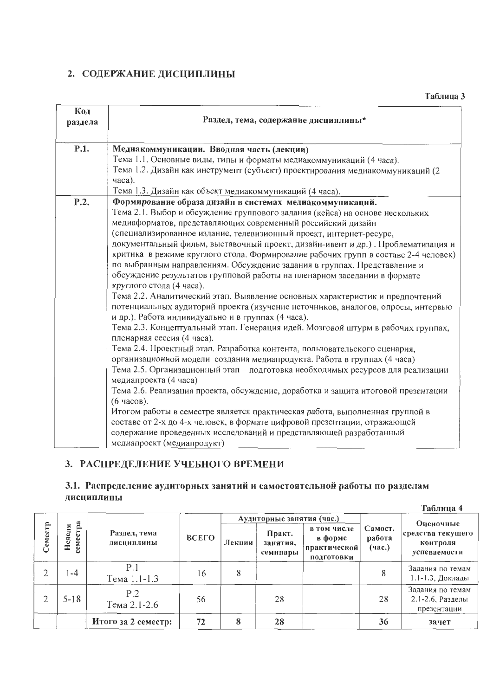# 2. СОДЕРЖАНИЕ ДИСЦИПЛИНЫ

| Код<br>раздела | Раздел, тема, содержание дисциплины*                                                                                                                      |
|----------------|-----------------------------------------------------------------------------------------------------------------------------------------------------------|
| P.1.           | Медиакоммуникации. Вводная часть (лекции)                                                                                                                 |
|                | Тема 1.1. Основные виды, типы и форматы медиакоммуникаций (4 часа).<br>Тема 1.2. Дизайн как инструмент (субъект) проектирования медиакоммуникаций (2      |
|                | часа).                                                                                                                                                    |
|                | Тема 1.3. Дизайн как объект медиакоммуникаций (4 часа).                                                                                                   |
| P.2.           | Формирование образа дизайн в системах медиакоммуникаций.                                                                                                  |
|                | Тема 2.1. Выбор и обсуждение группового задания (кейса) на основе нескольких                                                                              |
|                | медиаформатов, представляющих современный российский дизайн                                                                                               |
|                | (специализированное издание, телевизионный проект, интернет-ресурс,                                                                                       |
|                | документальный фильм, выставочный проект, дизайн-ивент и др.). Проблематизация и                                                                          |
|                | критика в режиме круглого стола. Формирование рабочих групп в составе 2-4 человек)                                                                        |
|                | по выбранным направлениям. Обсуждение задания в группах. Представление и<br>обсуждение результатов групповой работы на пленарном заседании в формате      |
|                | круглого стола (4 часа).                                                                                                                                  |
|                | Тема 2.2. Аналитический этап. Выявление основных характеристик и предпочтений                                                                             |
|                | потенциальных аудиторий проекта (изучение источников, аналогов, опросы, интервью                                                                          |
|                | и др.). Работа индивидуально и в группах (4 часа).                                                                                                        |
|                | Тема 2.3. Концептуальный этап. Генерация идей. Мозговой штурм в рабочих группах,<br>пленарная сессия (4 часа).                                            |
|                | Тема 2.4. Проектный этап. Разработка контента, пользовательского сценария,                                                                                |
|                | организационной модели создания медиапродукта. Работа в группах (4 часа)                                                                                  |
|                | Тема 2.5. Организационный этап - подготовка необходимых ресурсов для реализации                                                                           |
|                | медиапроекта (4 часа)                                                                                                                                     |
|                | Тема 2.6. Реализация проекта, обсуждение, доработка и защита итоговой презентации                                                                         |
|                | (6 часов).                                                                                                                                                |
|                | Итогом работы в семестре является практическая работа, выполненная группой в<br>составе от 2-х до 4-х человек, в формате цифровой презентации, отражающей |
|                | содержание проведенных исследований и представляющей разработанный                                                                                        |
|                | медиапроект (медиапродукт)                                                                                                                                |
|                |                                                                                                                                                           |

# 3. РАСПРЕДЕЛЕНИЕ УЧЕБНОГО ВРЕМЕНИ

#### 3.1. Распределение аудиторных занятий и самостоятельной работы по разделам дисциплины  $Ta6$ тина  $4$

|                |                  |                            |       |        |                                |                                                      |                             | ***********                                         |
|----------------|------------------|----------------------------|-------|--------|--------------------------------|------------------------------------------------------|-----------------------------|-----------------------------------------------------|
|                |                  |                            |       |        | Аудиторные занятия (час.)      |                                                      |                             | Оценочные                                           |
| Семестр        | a<br>еделя<br>පු | Раздел, тема<br>дисциплины | ВСЕГО | Лекции | Практ.<br>занятия,<br>семинары | в том числе<br>в форме<br>практической<br>ПОДГОТОВКИ | Самост.<br>работа<br>(4ac.) | средства текущего<br>контроля<br>успеваемости       |
| ∍              | $-4$             | P.1<br>Тема 1.1-1.3        | 16    | 8      |                                |                                                      |                             | Задания по темам<br>1.1-1.3, Доклады                |
| $\overline{2}$ | $5 - 18$         | P.2<br>Тема 2.1-2.6        | 56    |        | 28                             |                                                      | 28                          | Задания по темам<br>2.1-2.6, Разделы<br>презентации |
|                |                  | Итого за 2 семестр:        | 72    | 8      | 28                             |                                                      | 36                          | зачет                                               |

Таблица 3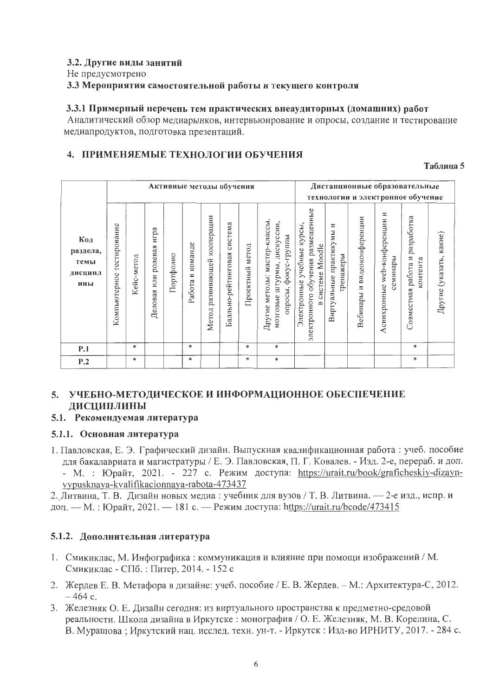### 3.2. Другие виды занятий

#### Не предусмотрено

### 3.3 Мероприятия самостоятельной работы и текущего контроля

#### 3.3.1 Примерный перечень тем практических внеаудиторных (домашних) работ

Аналитический обзор медиарынков, интервьюирование и опросы, создание и тестирование медиапродуктов, подготовка презентаций.

# 4. ПРИМЕНЯЕМЫЕ ТЕХНОЛОГИИ ОБУЧЕНИЯ

#### Таблица 5

|                                           |                              | Активные методы обучения |                                |           |                                                    |                                    |                                |                    |                                                                                         | Дистанционные образовательные<br>технологии и электронное обучение                            |                                          |                                              |                                              |                                                  |                         |
|-------------------------------------------|------------------------------|--------------------------|--------------------------------|-----------|----------------------------------------------------|------------------------------------|--------------------------------|--------------------|-----------------------------------------------------------------------------------------|-----------------------------------------------------------------------------------------------|------------------------------------------|----------------------------------------------|----------------------------------------------|--------------------------------------------------|-------------------------|
| Код<br>раздела,<br>темы<br>дисципл<br>ины | тестирование<br>Компьютерное | Кейс-метод               | игра<br>ролевая<br>Деловая или | Портфолио | команде<br>$\mathbf{\underline{\omega}}$<br>Работа | кооперации<br>развивающей<br>Метод | система<br>Балльно-рейтинговая | метод<br>Проектный | мастер-классы,<br>мозговые штурмы, дискуссии,<br>опросы, фокус-группы<br>Другие методы: | электронного обучения размещенные<br>Электронные учебные курсы,<br>системе Moodle<br>$\omega$ | z<br>Виртуальные практикумы<br>тренажеры | видеоконференции<br>$\mathbb{Z}$<br>Вебинары | Z<br>Асинхронные web-конференции<br>семинары | разработка<br>работа и<br>сонтента<br>Совместная | Другие (указать, какие) |
| P.1                                       |                              | *                        |                                |           | $\ast$                                             |                                    |                                | *                  | *                                                                                       |                                                                                               |                                          |                                              |                                              | *                                                |                         |
| P.2                                       |                              | *                        |                                |           | *                                                  |                                    |                                | $\ast$             | *                                                                                       |                                                                                               |                                          |                                              |                                              | *                                                |                         |

# 5. УЧЕБНО-МЕТОДИЧЕСКОЕ И ИНФОРМАЦИОННОЕ ОБЕСПЕЧЕНИЕ ДИСЦИПЛИНЫ

### 5.1. Рекомендуемая литература

#### 5.1.1. Основная литература

1. Павловская, Е. Э. Графический дизайн. Выпускная квалификационная работа: учеб. пособие для бакалавриата и магистратуры / Е. Э. Павловская, П. Г. Ковалев. - Изд. 2-е, перераб. и доп. - М. : Юрайт, 2021. - 227 с. Режим доступа: https://urait.ru/book/graficheskiy-dizaynvypusknaya-kvalifikacionnaya-rabota-473437

2. Литвина, Т. В. Дизайн новых медиа: учебник для вузов / Т. В. Литвина. - 2-е изд., испр. и доп. — М.: Юрайт, 2021. — 181 с. — Режим доступа: https://urait.ru/bcode/473415

# 5.1.2. Дополнительная литература

- 1. Смикиклас, М. Инфографика: коммуникация и влияние при помощи изображений / М. Смикиклас - СПб.: Питер, 2014. - 152 с
- 2. Жердев Е. В. Метафора в дизайне: учеб. пособие / Е. В. Жердев. М.: Архитектура-С, 2012.  $-464$  c.
- 3. Железняк О. Е. Дизайн сегодня: из виртуального пространства к предметно-средовой реальности. Школа дизайна в Иркутске: монография / О. Е. Железняк, М. В. Корелина, С. В. Мурашова; Иркутский нац. исслед. техн. ун-т. - Иркутск: Изд-во ИРНИТУ, 2017. - 284 с.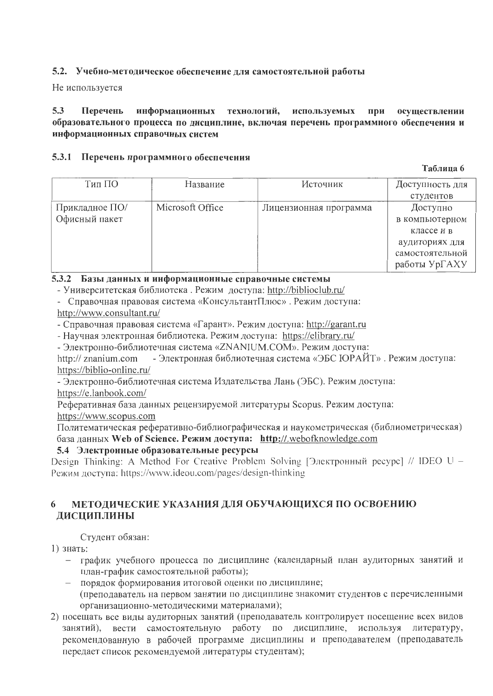# 5.2. Учебно-методическое обеспечение для самостоятельной работы

Не используется

#### $5.3$ информационных технологий, используемых при осуществлении Перечень образовательного процесса по дисциплине, включая перечень программного обеспечения и информационных справочных систем

# 5.3.1 Перечень программного обеспечения

#### Таблина б

| Тип ПО                          | Название         | Источник               | Доступность для<br>студентов                                                                   |
|---------------------------------|------------------|------------------------|------------------------------------------------------------------------------------------------|
| Прикладное ПО/<br>Офисный пакет | Microsoft Office | Лицензионная программа | Доступно<br>в компьютерном<br>классе и в<br>аудиториях для<br>самостоятельной<br>работы УрГАХУ |

# 5.3.2 Базы данных и информационные справочные системы

- Университетская библиотека. Режим доступа: http://biblioclub.ru/

- Справочная правовая система «КонсультантПлюс». Режим доступа: http://www.consultant.ru/

- Справочная правовая система «Гарант». Режим доступа: http://garant.ru

- Научная электронная библиотека. Режим доступа: https://elibrary.ru/

- Электронно-библиотечная система «ZNANIUM.COM». Режим доступа:

- Электронная библиотечная система «ЭБС ЮРАЙТ». Режим доступа: http:// znanium.com https://biblio-online.ru/

- Электронно-библиотечная система Издательства Лань (ЭБС). Режим доступа: https://e.lanbook.com/

Реферативная база данных рецензируемой литературы Scopus. Режим доступа:

https://www.scopus.com

Политематическая реферативно-библиографическая и наукометрическая (библиометрическая) база данных Web of Science. Режим доступа: http://.webofknowledge.com

# 5.4 Электронные образовательные ресурсы

Design Thinking: A Method For Creative Problem Solving [Электронный ресурс] // IDEO U -Режим доступа: https://www.ideou.com/pages/design-thinking

#### МЕТОДИЧЕСКИЕ УКАЗАНИЯ ДЛЯ ОБУЧАЮЩИХСЯ ПО ОСВОЕНИЮ 6 ДИСЦИПЛИНЫ

# Студент обязан:

1) знать:

- график учебного процесса по дисциплине (календарный план аудиторных занятий и план-график самостоятельной работы);
- порядок формирования итоговой оценки по дисциплине; (преподаватель на первом занятии по дисциплине знакомит студентов с перечисленными организационно-методическими материалами);
- 2) посещать все виды аудиторных занятий (преподаватель контролирует посещение всех видов занятий), вести самостоятельную работу по дисциплине, используя литературу, рекомендованную в рабочей программе дисциплины и преподавателем (преподаватель передает список рекомендуемой литературы студентам);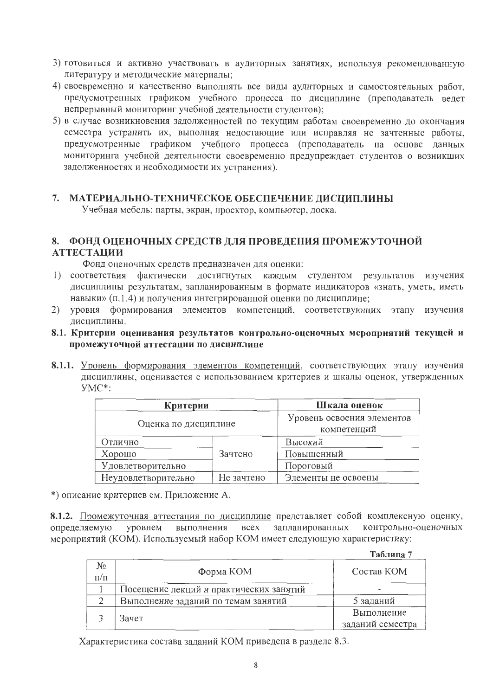- 3) готовиться и активно участвовать в аудиторных занятиях, используя рекомендованную литературу и методические материалы;
- 4) своевременно и качественно выполнять все виды аудиторных и самостоятельных работ, предусмотренных графиком учебного процесса по дисциплине (преподаватель ведет непрерывный мониторинг учебной деятельности студентов);
- 5) в случае возникновения задолженностей по текущим работам своевременно до окончания семестра устранить их, выполняя недостающие или исправляя не зачтенные работы, предусмотренные графиком учебного процесса (преподаватель на основе данных мониторинга учебной деятельности своевременно предупреждает студентов о возникших задолженностях и необходимости их устранения).

# 7. МАТЕРИАЛЬНО-ТЕХНИЧЕСКОЕ ОБЕСПЕЧЕНИЕ ДИСЦИПЛИНЫ

Учебная мебель: парты, экран, проектор, компьютер, доска.

# 8. ФОНД ОЦЕНОЧНЫХ СРЕДСТВ ДЛЯ ПРОВЕДЕНИЯ ПРОМЕЖУТОЧНОЙ **АТТЕСТАЦИИ**

Фонд оценочных средств предназначен для оценки:

- 1) соответствия фактически достигнутых каждым студентом результатов изучения дисциплины результатам, запланированным в формате индикаторов «знать, уметь, иметь навыки» (п.1.4) и получения интегрированной оценки по дисциплине;
- 2) уровня формирования элементов компетенций, соответствующих этапу изучения лисциплины.
- 8.1. Критерии оценивания результатов контрольно-оценочных мероприятий текущей и промежуточной аттестации по дисциплине
- 8.1.1. Уровень формирования элементов компетенций, соответствующих этапу изучения дисциплины, оценивается с использованием критериев и шкалы оценок, утвержденных  $YMC^*$ :

| Критерии                          | Шкала оценок                              |                     |  |
|-----------------------------------|-------------------------------------------|---------------------|--|
| Оценка по дисциплине              | Уровень освоения элементов<br>компетенций |                     |  |
| Отлично                           |                                           | Высокий             |  |
| Хорошо                            | Зачтено                                   | Повышенный          |  |
| Удовлетворительно                 |                                           | Пороговый           |  |
| Не зачтено<br>Неудовлетворительно |                                           | Элементы не освоены |  |

\*) описание критериев см. Приложение А.

8.1.2. Промежуточная аттестация по дисциплине представляет собой комплексную оценку, контрольно-оценочных определяемую уровнем выполнения всех запланированных мероприятий (КОМ). Используемый набор КОМ имеет следующую характеристику:

Tañnuna 7

|                    |                                         | 1 аулица <i> </i>              |
|--------------------|-----------------------------------------|--------------------------------|
| $N_2$<br>$\Pi/\Pi$ | Форма КОМ                               | Состав КОМ                     |
|                    | Посещение лекций и практических занятий |                                |
|                    | Выполнение заданий по темам занятий     | 5 заданий                      |
|                    | Зачет                                   | Выполнение<br>заданий семестра |

Характеристика состава заданий КОМ приведена в разделе 8.3.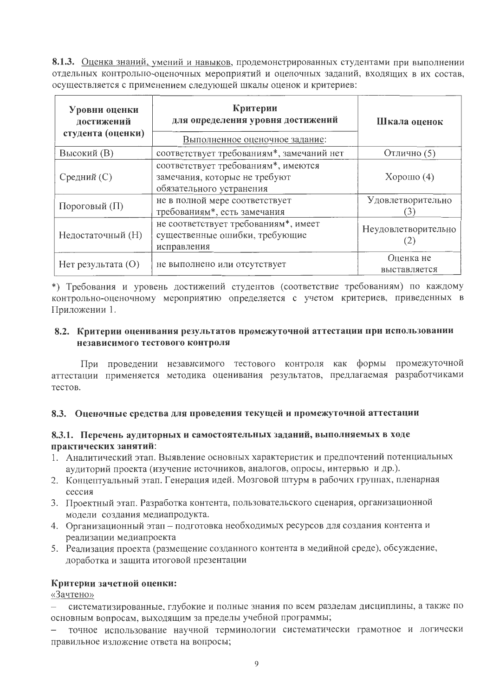8.1.3. Оценка знаний, умений и навыков, продемонстрированных студентами при выполнении отдельных контрольно-оценочных мероприятий и оценочных заданий, входящих в их состав, осуществляется с применением следующей шкалы оценок и критериев:

| Уровни оценки<br>достижений<br>студента (оценки) | Критерии<br>для определения уровня достижений<br>Выполненное оценочное задание:                  | Шкала оценок              |
|--------------------------------------------------|--------------------------------------------------------------------------------------------------|---------------------------|
| <b>Высокий</b> (В)                               | соответствует требованиям*, замечаний нет                                                        | Отлично (5)               |
| Средний (С)                                      | соответствует требованиям*, имеются<br>замечания, которые не требуют<br>обязательного устранения | $X$ орошо $(4)$           |
| Пороговый (П)                                    | не в полной мере соответствует<br>требованиям*, есть замечания                                   | Удовлетворительно         |
| Недостаточный (Н)                                | не соответствует требованиям*, имеет<br>существенные ошибки, требующие<br>исправления            | Неудовлетворительно       |
| $H$ ет результата $(O)$                          | не выполнено или отсутствует                                                                     | Оценка не<br>выставляется |

\*) Требования и уровень достижений студентов (соответствие требованиям) по каждому контрольно-оценочному мероприятию определяется с учетом критериев, приведенных в Приложении 1.

# 8.2. Критерии оценивания результатов промежуточной аттестации при использовании независимого тестового контроля

При проведении независимого тестового контроля как формы промежуточной аттестации применяется методика оценивания результатов, предлагаемая разработчиками тестов.

#### 8.3. Оценочные средства для проведения текущей и промежуточной аттестации

# 8.3.1. Перечень аудиторных и самостоятельных заданий, выполняемых в ходе практических занятий:

- 1. Аналитический этап. Выявление основных характеристик и предпочтений потенциальных аудиторий проекта (изучение источников, аналогов, опросы, интервью и др.).
- 2. Концептуальный этап. Генерация идей. Мозговой штурм в рабочих группах, пленарная сессия
- 3. Проектный этап. Разработка контента, пользовательского сценария, организационной модели создания медиапродукта.
- 4. Организационный этап подготовка необходимых ресурсов для создания контента и реализации медиапроекта
- 5. Реализация проекта (размещение созданного контента в медийной среде), обсуждение, доработка и защита итоговой презентации

# Критерии зачетной оценки:

«Зачтено»

- систематизированные, глубокие и полные знания по всем разделам дисциплины, а также по основным вопросам, выходящим за пределы учебной программы;

точное использование научной терминологии систематически грамотное и логически правильное изложение ответа на вопросы;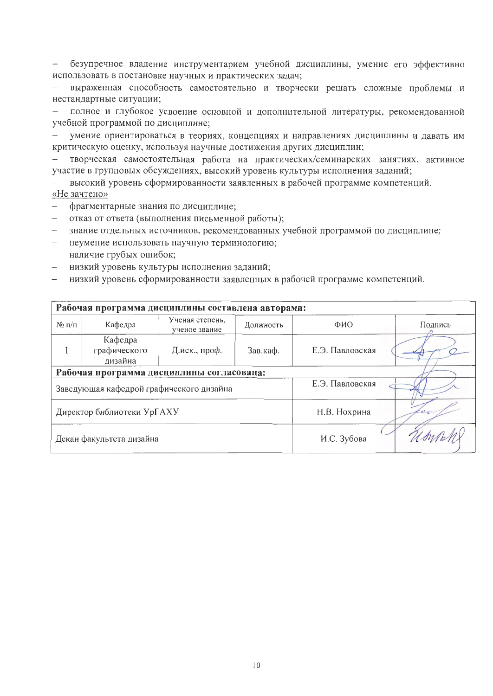безупречное владение инструментарием учебной дисциплины, умение его эффективно  $\,$ использовать в постановке научных и практических задач;

выраженная способность самостоятельно и творчески решать сложные проблемы и нестандартные ситуации;

полное и глубокое усвоение основной и дополнительной литературы, рекомендованной учебной программой по дисциплине;

умение ориентироваться в теориях, концепциях и направлениях дисциплины и давать им критическую оценку, используя научные достижения других дисциплин;

творческая самостоятельная работа на практических/семинарских занятиях, активное участие в групповых обсуждениях, высокий уровень культуры исполнения заданий;

высокий уровень сформированности заявленных в рабочей программе компетенций. «Не зачтено»

- фрагментарные знания по дисциплине;  $\sim$   $\sim$
- отказ от ответа (выполнения письменной работы);
- знание отдельных источников, рекомендованных учебной программой по дисциплине;
- неумение использовать научную терминологию;
- наличие грубых ошибок;
- низкий уровень культуры исполнения заданий;
- низкий уровень сформированности заявленных в рабочей программе компетенций.

| Рабочая программа дисциплины составлена авторами: |                                           |                                  |                 |         |         |  |  |  |  |
|---------------------------------------------------|-------------------------------------------|----------------------------------|-----------------|---------|---------|--|--|--|--|
| $N_2 \Pi/\Pi$                                     | Кафедра                                   | Ученая степень.<br>ученое звание | Должность       | ФИО     | Подпись |  |  |  |  |
|                                                   | Кафедра<br>графического<br>дизайна        | Д.иск., проф.                    | Е.Э. Павловская |         |         |  |  |  |  |
|                                                   | Рабочая программа дисциплины согласована: |                                  |                 |         |         |  |  |  |  |
|                                                   | Заведующая кафедрой графического дизайна  |                                  | Е.Э. Павловская |         |         |  |  |  |  |
|                                                   | Директор библиотеки УрГАХУ                |                                  | Н.В. Нохрина    | $c_{c}$ |         |  |  |  |  |
|                                                   | Декан факультета дизайна                  |                                  | И.С. Зубова     |         |         |  |  |  |  |